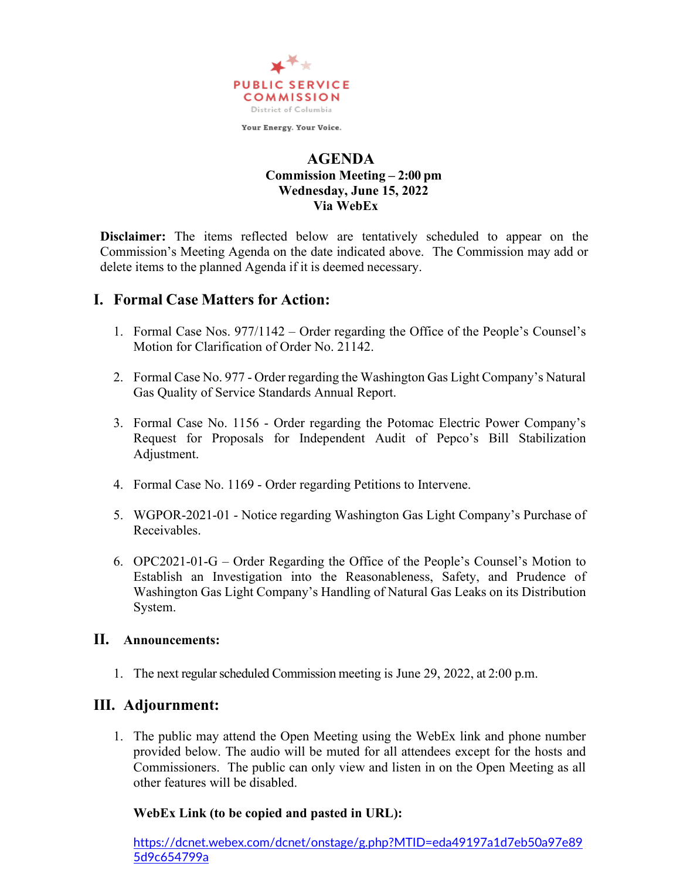

Your Energy. Your Voice.

#### **AGENDA Commission Meeting – 2:00 pm Wednesday, June 15, 2022 Via WebEx**

**Disclaimer:** The items reflected below are tentatively scheduled to appear on the Commission's Meeting Agenda on the date indicated above. The Commission may add or delete items to the planned Agenda if it is deemed necessary.

## **I. Formal Case Matters for Action:**

- 1. Formal Case Nos. 977/1142 Order regarding the Office of the People's Counsel's Motion for Clarification of Order No. 21142.
- 2. Formal Case No. 977 Order regarding the Washington Gas Light Company's Natural Gas Quality of Service Standards Annual Report.
- 3. Formal Case No. 1156 Order regarding the Potomac Electric Power Company's Request for Proposals for Independent Audit of Pepco's Bill Stabilization Adjustment.
- 4. Formal Case No. 1169 Order regarding Petitions to Intervene.
- 5. WGPOR-2021-01 Notice regarding Washington Gas Light Company's Purchase of Receivables.
- 6. OPC2021-01-G Order Regarding the Office of the People's Counsel's Motion to Establish an Investigation into the Reasonableness, Safety, and Prudence of Washington Gas Light Company's Handling of Natural Gas Leaks on its Distribution System.

#### **II. Announcements:**

1. The next regular scheduled Commission meeting is June 29, 2022, at 2:00 p.m.

# **III. Adjournment:**

1. The public may attend the Open Meeting using the WebEx link and phone number provided below. The audio will be muted for all attendees except for the hosts and Commissioners. The public can only view and listen in on the Open Meeting as all other features will be disabled.

### **WebEx Link (to be copied and pasted in URL):**

[https://dcnet.webex.com/dcnet/onstage/g.php?MTID=eda49197a1d7eb50a97e89](https://dcnet.webex.com/dcnet/onstage/g.php?MTID=eda49197a1d7eb50a97e895d9c654799a) [5d9c654799a](https://dcnet.webex.com/dcnet/onstage/g.php?MTID=eda49197a1d7eb50a97e895d9c654799a)